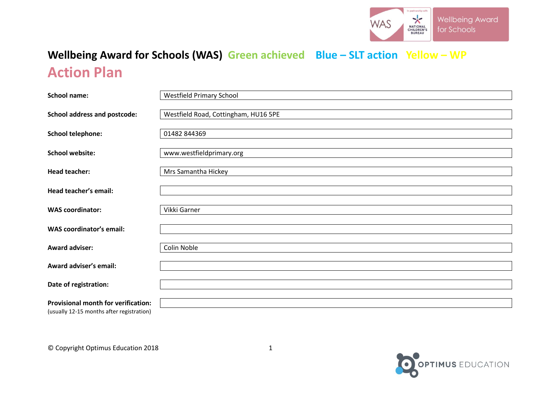

# **Wellbeing Award for Schools (WAS) Green achieved Blue – SLT action Yellow – WP Action Plan**

| <b>School name:</b>                        | <b>Westfield Primary School</b>      |
|--------------------------------------------|--------------------------------------|
|                                            |                                      |
| <b>School address and postcode:</b>        | Westfield Road, Cottingham, HU16 5PE |
|                                            |                                      |
| <b>School telephone:</b>                   | 01482 844369                         |
|                                            |                                      |
| <b>School website:</b>                     | www.westfieldprimary.org             |
| <b>Head teacher:</b>                       | Mrs Samantha Hickey                  |
|                                            |                                      |
| Head teacher's email:                      |                                      |
|                                            |                                      |
| <b>WAS coordinator:</b>                    | Vikki Garner                         |
|                                            |                                      |
| <b>WAS coordinator's email:</b>            |                                      |
| <b>Award adviser:</b>                      | Colin Noble                          |
|                                            |                                      |
| Award adviser's email:                     |                                      |
|                                            |                                      |
| Date of registration:                      |                                      |
|                                            |                                      |
| <b>Provisional month for verification:</b> |                                      |
| (usually 12-15 months after registration)  |                                      |

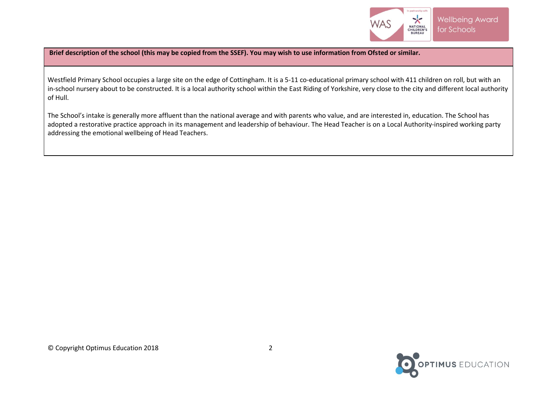

**Brief description of the school (this may be copied from the SSEF). You may wish to use information from Ofsted or similar.**

Westfield Primary School occupies a large site on the edge of Cottingham. It is a 5-11 co-educational primary school with 411 children on roll, but with an in-school nursery about to be constructed. It is a local authority school within the East Riding of Yorkshire, very close to the city and different local authority of Hull.

The School's intake is generally more affluent than the national average and with parents who value, and are interested in, education. The School has adopted a restorative practice approach in its management and leadership of behaviour. The Head Teacher is on a Local Authority-inspired working party addressing the emotional wellbeing of Head Teachers.

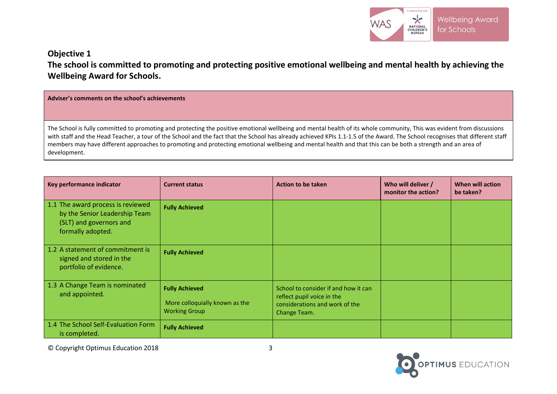

**The school is committed to promoting and protecting positive emotional wellbeing and mental health by achieving the Wellbeing Award for Schools.**

**Adviser's comments on the school's achievements**

The School is fully committed to promoting and protecting the positive emotional wellbeing and mental health of its whole community, This was evident from discussions with staff and the Head Teacher, a tour of the School and the fact that the School has already achieved KPIs 1.1-1.5 of the Award. The School recognises that different staff members may have different approaches to promoting and protecting emotional wellbeing and mental health and that this can be both a strength and an area of development.

| Key performance indicator                                                                                          | <b>Current status</b>                                                           | <b>Action to be taken</b>                                                                                            | Who will deliver /<br>monitor the action? | When will action<br>be taken? |
|--------------------------------------------------------------------------------------------------------------------|---------------------------------------------------------------------------------|----------------------------------------------------------------------------------------------------------------------|-------------------------------------------|-------------------------------|
| 1.1 The award process is reviewed<br>by the Senior Leadership Team<br>(SLT) and governors and<br>formally adopted. | <b>Fully Achieved</b>                                                           |                                                                                                                      |                                           |                               |
| 1.2 A statement of commitment is<br>signed and stored in the<br>portfolio of evidence.                             | <b>Fully Achieved</b>                                                           |                                                                                                                      |                                           |                               |
| 1.3 A Change Team is nominated<br>and appointed.                                                                   | <b>Fully Achieved</b><br>More colloquially known as the<br><b>Working Group</b> | School to consider if and how it can<br>reflect pupil voice in the<br>considerations and work of the<br>Change Team. |                                           |                               |
| 1.4 The School Self-Evaluation Form<br>is completed.                                                               | <b>Fully Achieved</b>                                                           |                                                                                                                      |                                           |                               |

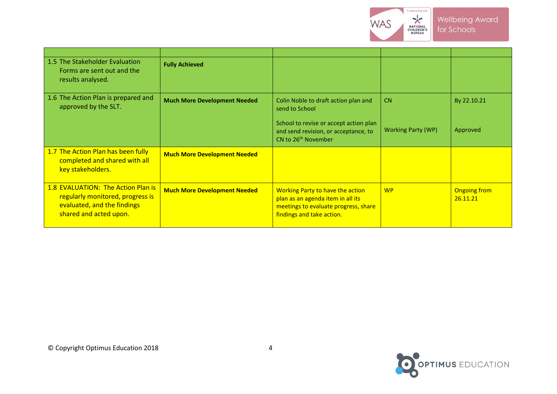

| 1.5 The Stakeholder Evaluation<br>Forms are sent out and the<br>results analysed.                                               | <b>Fully Achieved</b>               |                                                                                                                                                                             |                                        |                                 |
|---------------------------------------------------------------------------------------------------------------------------------|-------------------------------------|-----------------------------------------------------------------------------------------------------------------------------------------------------------------------------|----------------------------------------|---------------------------------|
| 1.6 The Action Plan is prepared and<br>approved by the SLT.                                                                     | <b>Much More Development Needed</b> | Colin Noble to draft action plan and<br>send to School<br>School to revise or accept action plan<br>and send revision, or acceptance, to<br>CN to 26 <sup>th</sup> November | <b>CN</b><br><b>Working Party (WP)</b> | By 22.10.21<br>Approved         |
| 1.7 The Action Plan has been fully<br>completed and shared with all<br>key stakeholders.                                        | <b>Much More Development Needed</b> |                                                                                                                                                                             |                                        |                                 |
| 1.8 EVALUATION: The Action Plan is<br>regularly monitored, progress is<br>evaluated, and the findings<br>shared and acted upon. | <b>Much More Development Needed</b> | <b>Working Party to have the action</b><br>plan as an agenda item in all its<br>meetings to evaluate progress, share<br>findings and take action.                           | <b>WP</b>                              | <b>Ongoing from</b><br>26.11.21 |

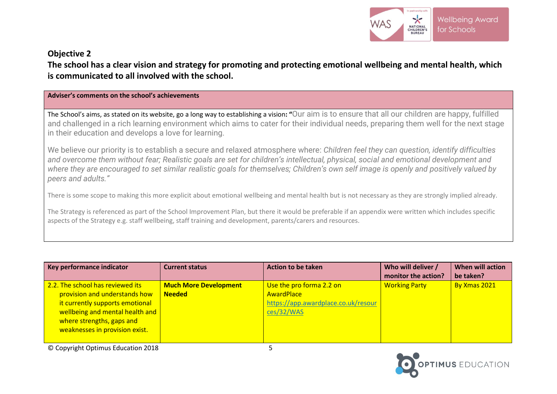

# **The school has a clear vision and strategy for promoting and protecting emotional wellbeing and mental health, which is communicated to all involved with the school.**

#### **Adviser's comments on the school's achievements**

The School's aims, as stated on its website, go a long way to establishing a vision**: "**Our aim is to ensure that all our children are happy, fulfilled and challenged in a rich learning environment which aims to cater for their individual needs, preparing them well for the next stage in their education and develops a love for learning.

We believe our priority is to establish a secure and relaxed atmosphere where: *Children feel they can question, identify difficulties and overcome them without fear; Realistic goals are set for children's intellectual, physical, social and emotional development and where they are encouraged to set similar realistic goals for themselves; Children's own self image is openly and positively valued by peers and adults."*

There is some scope to making this more explicit about emotional wellbeing and mental health but is not necessary as they are strongly implied already.

The Strategy is referenced as part of the School Improvement Plan, but there it would be preferable if an appendix were written which includes specific aspects of the Strategy e.g. staff wellbeing, staff training and development, parents/carers and resources.

| Key performance indicator        | <b>Current status</b>        | <b>Action to be taken</b>           | Who will deliver /   | When will action |
|----------------------------------|------------------------------|-------------------------------------|----------------------|------------------|
|                                  |                              |                                     | monitor the action?  | be taken?        |
| 2.2. The school has reviewed its | <b>Much More Development</b> | Use the pro forma 2.2 on            | <b>Working Party</b> | By Xmas 2021     |
| provision and understands how    | <b>Needed</b>                | AwardPlace                          |                      |                  |
| it currently supports emotional  |                              | https://app.awardplace.co.uk/resour |                      |                  |
| wellbeing and mental health and  |                              | ces/32/WAS                          |                      |                  |
| where strengths, gaps and        |                              |                                     |                      |                  |
| weaknesses in provision exist.   |                              |                                     |                      |                  |
|                                  |                              |                                     |                      |                  |

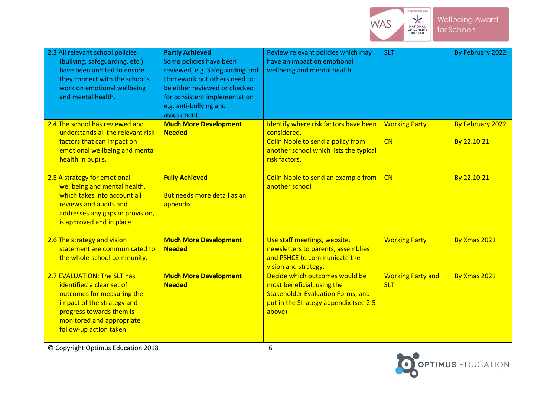

| 2.3 All relevant school policies<br>(bullying, safeguarding, etc.)<br>have been audited to ensure<br>they connect with the school's<br>work on emotional wellbeing<br>and mental health.                 | <b>Partly Achieved</b><br>Some policies have been<br>reviewed, e.g. Safeguarding and<br>Homework but others need to<br>be either reviewed or checked<br>for consistent implementation<br>e.g. anti-bullying and<br>assessment. | Review relevant policies which may<br>have an impact on emotional<br>wellbeing and mental health.                                                           | <b>SLT</b>                             | By February 2022                |
|----------------------------------------------------------------------------------------------------------------------------------------------------------------------------------------------------------|--------------------------------------------------------------------------------------------------------------------------------------------------------------------------------------------------------------------------------|-------------------------------------------------------------------------------------------------------------------------------------------------------------|----------------------------------------|---------------------------------|
| 2.4 The school has reviewed and<br>understands all the relevant risk<br>factors that can impact on<br>emotional wellbeing and mental<br>health in pupils.                                                | <b>Much More Development</b><br><b>Needed</b>                                                                                                                                                                                  | Identify where risk factors have been<br>considered.<br>Colin Noble to send a policy from<br>another school which lists the typical<br>risk factors.        | <b>Working Party</b><br>CN             | By February 2022<br>By 22.10.21 |
| 2.5 A strategy for emotional<br>wellbeing and mental health,<br>which takes into account all<br>reviews and audits and<br>addresses any gaps in provision,<br>is approved and in place.                  | <b>Fully Achieved</b><br>But needs more detail as an<br>appendix                                                                                                                                                               | Colin Noble to send an example from<br>another school                                                                                                       | CN                                     | By 22.10.21                     |
| 2.6 The strategy and vision<br>statement are communicated to<br>the whole-school community.                                                                                                              | <b>Much More Development</b><br><b>Needed</b>                                                                                                                                                                                  | Use staff meetings, website,<br>newsletters to parents, assemblies<br>and PSHCE to communicate the<br>vision and strategy.                                  | <b>Working Party</b>                   | By Xmas 2021                    |
| 2.7 EVALUATION: The SLT has<br>identified a clear set of<br>outcomes for measuring the<br>impact of the strategy and<br>progress towards them is<br>monitored and appropriate<br>follow-up action taken. | <b>Much More Development</b><br><b>Needed</b>                                                                                                                                                                                  | Decide which outcomes would be<br>most beneficial, using the<br><b>Stakeholder Evaluation Forms, and</b><br>put in the Strategy appendix (see 2.5<br>above) | <b>Working Party and</b><br><b>SLT</b> | By Xmas 2021                    |

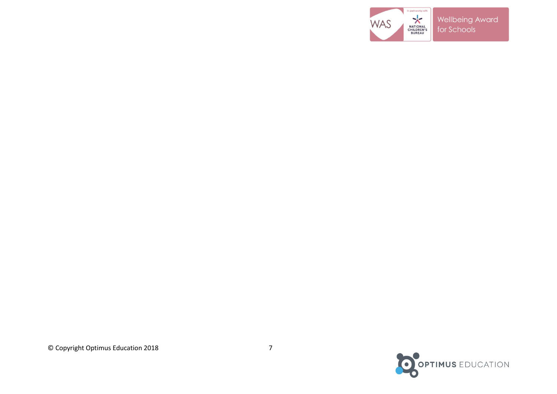

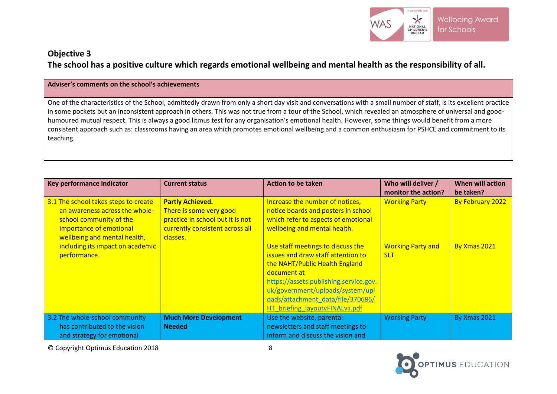

**The school has a positive culture which regards emotional wellbeing and mental health as the responsibility of all.**

One of the characteristics of the School, admittedly drawn from only a short day visit and conversations with a small number of staff, is its excellent practice in some pockets but an inconsistent approach in others. This was not true from a tour of the School, which revealed an atmosphere of universal and goodhumoured mutual respect. This is always a good litmus test for any organisation's emotional health. However, some things would benefit from a more consistent approach such as: classrooms having an area which promotes emotional wellbeing and a common enthusiasm for PSHCE and commitment to its teaching.

| Key performance indicator                                                                                                                                                                                        | <b>Current status</b>                                                                                                                 | <b>Action to be taken</b>                                                                                                                                                                                                                                                                                                                                                                    | Who will deliver /<br>monitor the action?                      | <b>When will action</b><br>be taken?    |
|------------------------------------------------------------------------------------------------------------------------------------------------------------------------------------------------------------------|---------------------------------------------------------------------------------------------------------------------------------------|----------------------------------------------------------------------------------------------------------------------------------------------------------------------------------------------------------------------------------------------------------------------------------------------------------------------------------------------------------------------------------------------|----------------------------------------------------------------|-----------------------------------------|
| 3.1 The school takes steps to create<br>an awareness across the whole-<br>school community of the<br>importance of emotional<br>wellbeing and mental health,<br>including its impact on academic<br>performance. | <b>Partly Achieved.</b><br>There is some very good<br>practice in school but it is not<br>currently consistent across all<br>classes. | Increase the number of notices,<br>notice boards and posters in school<br>which refer to aspects of emotional<br>wellbeing and mental health.<br>Use staff meetings to discuss the<br>issues and draw staff attention to<br>the NAHT/Public Health England<br>document at<br>https://assets.publishing.service.gov.<br>uk/government/uploads/system/upl<br>oads/attachment_data/file/370686/ | <b>Working Party</b><br><b>Working Party and</b><br><b>SLT</b> | By February 2022<br><b>By Xmas 2021</b> |
|                                                                                                                                                                                                                  |                                                                                                                                       | HT briefing layoutvFINALvii.pdf                                                                                                                                                                                                                                                                                                                                                              |                                                                |                                         |
| 3.2 The whole-school community                                                                                                                                                                                   | <b>Much More Development</b>                                                                                                          | Use the website, parental                                                                                                                                                                                                                                                                                                                                                                    | <b>Working Party</b>                                           | <b>By Xmas 2021</b>                     |
| has contributed to the vision                                                                                                                                                                                    | <b>Needed</b>                                                                                                                         | newsletters and staff meetings to                                                                                                                                                                                                                                                                                                                                                            |                                                                |                                         |
| and strategy for emotional                                                                                                                                                                                       |                                                                                                                                       | inform and discuss the vision and                                                                                                                                                                                                                                                                                                                                                            |                                                                |                                         |

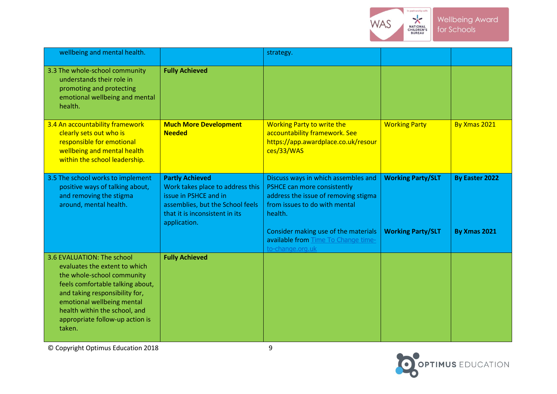

| wellbeing and mental health.                                                                                                                                                                                                                                                |                                                                                                                                                                           | strategy.                                                                                                                                                                                                                                    |                                                      |                                       |
|-----------------------------------------------------------------------------------------------------------------------------------------------------------------------------------------------------------------------------------------------------------------------------|---------------------------------------------------------------------------------------------------------------------------------------------------------------------------|----------------------------------------------------------------------------------------------------------------------------------------------------------------------------------------------------------------------------------------------|------------------------------------------------------|---------------------------------------|
| 3.3 The whole-school community<br>understands their role in<br>promoting and protecting<br>emotional wellbeing and mental<br>health.                                                                                                                                        | <b>Fully Achieved</b>                                                                                                                                                     |                                                                                                                                                                                                                                              |                                                      |                                       |
| 3.4 An accountability framework<br>clearly sets out who is<br>responsible for emotional<br>wellbeing and mental health<br>within the school leadership.                                                                                                                     | <b>Much More Development</b><br><b>Needed</b>                                                                                                                             | <b>Working Party to write the</b><br>accountability framework. See<br>https://app.awardplace.co.uk/resour<br>ces/33/WAS                                                                                                                      | <b>Working Party</b>                                 | By Xmas 2021                          |
| 3.5 The school works to implement<br>positive ways of talking about,<br>and removing the stigma<br>around, mental health.                                                                                                                                                   | <b>Partly Achieved</b><br>Work takes place to address this<br>issue in PSHCE and in<br>assemblies, but the School feels<br>that it is inconsistent in its<br>application. | Discuss ways in which assembles and<br><b>PSHCE can more consistently</b><br>address the issue of removing stigma<br>from issues to do with mental<br>health.<br>Consider making use of the materials<br>available from Time To Change time- | <b>Working Party/SLT</b><br><b>Working Party/SLT</b> | By Easter 2022<br><b>By Xmas 2021</b> |
|                                                                                                                                                                                                                                                                             |                                                                                                                                                                           | to-change.org.uk                                                                                                                                                                                                                             |                                                      |                                       |
| 3.6 EVALUATION: The school<br>evaluates the extent to which<br>the whole-school community<br>feels comfortable talking about,<br>and taking responsibility for,<br>emotional wellbeing mental<br>health within the school, and<br>appropriate follow-up action is<br>taken. | <b>Fully Achieved</b>                                                                                                                                                     |                                                                                                                                                                                                                                              |                                                      |                                       |

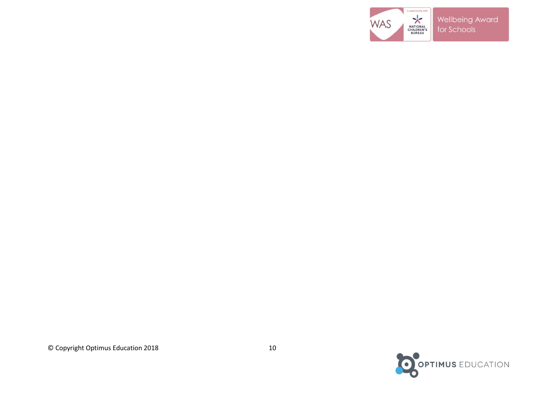

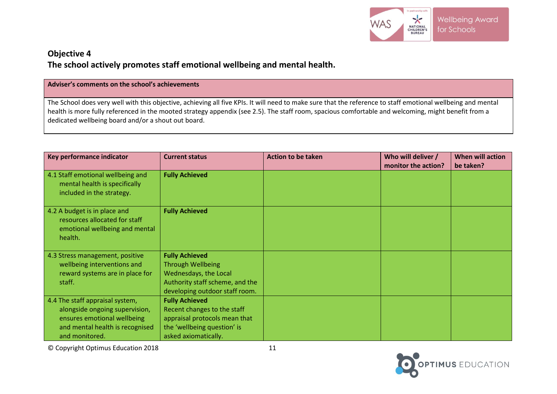

# **Objective 4 The school actively promotes staff emotional wellbeing and mental health.**

### **Adviser's comments on the school's achievements**

The School does very well with this objective, achieving all five KPIs. It will need to make sure that the reference to staff emotional wellbeing and mental health is more fully referenced in the mooted strategy appendix (see 2.5). The staff room, spacious comfortable and welcoming, might benefit from a dedicated wellbeing board and/or a shout out board.

| Key performance indicator                                                                                  | <b>Current status</b>                                                                      | <b>Action to be taken</b> | Who will deliver /<br>monitor the action? | <b>When will action</b><br>be taken? |
|------------------------------------------------------------------------------------------------------------|--------------------------------------------------------------------------------------------|---------------------------|-------------------------------------------|--------------------------------------|
| 4.1 Staff emotional wellbeing and<br>mental health is specifically<br>included in the strategy.            | <b>Fully Achieved</b>                                                                      |                           |                                           |                                      |
| 4.2 A budget is in place and<br>resources allocated for staff<br>emotional wellbeing and mental<br>health. | <b>Fully Achieved</b>                                                                      |                           |                                           |                                      |
| 4.3 Stress management, positive<br>wellbeing interventions and                                             | <b>Fully Achieved</b><br><b>Through Wellbeing</b>                                          |                           |                                           |                                      |
| reward systems are in place for<br>staff.                                                                  | Wednesdays, the Local<br>Authority staff scheme, and the<br>developing outdoor staff room. |                           |                                           |                                      |
| 4.4 The staff appraisal system,                                                                            | <b>Fully Achieved</b>                                                                      |                           |                                           |                                      |
| alongside ongoing supervision,                                                                             | Recent changes to the staff                                                                |                           |                                           |                                      |
| ensures emotional wellbeing                                                                                | appraisal protocols mean that                                                              |                           |                                           |                                      |
| and mental health is recognised                                                                            | the 'wellbeing question' is                                                                |                           |                                           |                                      |
| and monitored.                                                                                             | asked axiomatically.                                                                       |                           |                                           |                                      |

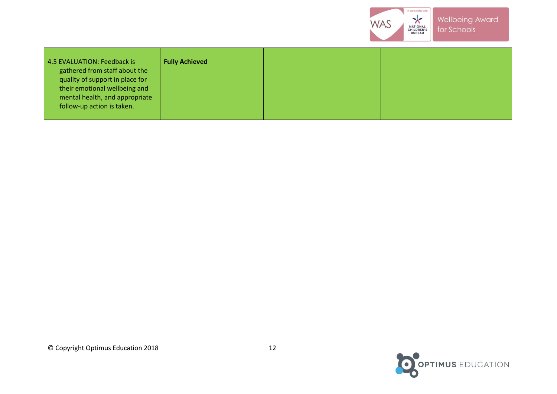

| 4.5 EVALUATION: Feedback is<br>gathered from staff about the<br>quality of support in place for<br>their emotional wellbeing and<br>mental health, and appropriate<br>follow-up action is taken. | <b>Fully Achieved</b> |  |  |
|--------------------------------------------------------------------------------------------------------------------------------------------------------------------------------------------------|-----------------------|--|--|

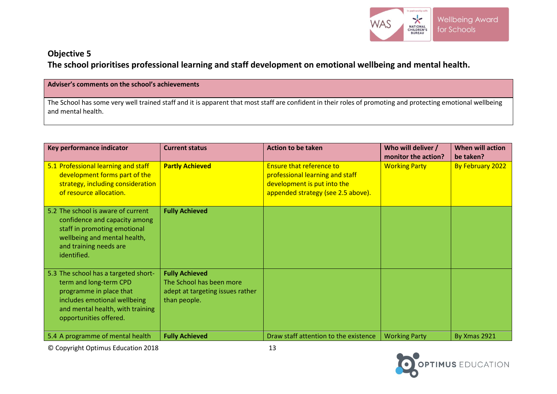

# **The school prioritises professional learning and staff development on emotional wellbeing and mental health.**

# **Adviser's comments on the school's achievements** The School has some very well trained staff and it is apparent that most staff are confident in their roles of promoting and protecting emotional wellbeing and mental health.

| Key performance indicator                                                                                                                                                               | <b>Current status</b>                                                                                 | <b>Action to be taken</b>                                                                                                               | Who will deliver /<br>monitor the action? | When will action<br>be taken? |
|-----------------------------------------------------------------------------------------------------------------------------------------------------------------------------------------|-------------------------------------------------------------------------------------------------------|-----------------------------------------------------------------------------------------------------------------------------------------|-------------------------------------------|-------------------------------|
| 5.1 Professional learning and staff<br>development forms part of the<br>strategy, including consideration<br>of resource allocation.                                                    | <b>Partly Achieved</b>                                                                                | <b>Ensure that reference to</b><br>professional learning and staff<br>development is put into the<br>appended strategy (see 2.5 above). | <b>Working Party</b>                      | By February 2022              |
| 5.2 The school is aware of current<br>confidence and capacity among<br>staff in promoting emotional<br>wellbeing and mental health,<br>and training needs are<br>identified.            | <b>Fully Achieved</b>                                                                                 |                                                                                                                                         |                                           |                               |
| 5.3 The school has a targeted short-<br>term and long-term CPD<br>programme in place that<br>includes emotional wellbeing<br>and mental health, with training<br>opportunities offered. | <b>Fully Achieved</b><br>The School has been more<br>adept at targeting issues rather<br>than people. |                                                                                                                                         |                                           |                               |
| 5.4 A programme of mental health                                                                                                                                                        | <b>Fully Achieved</b>                                                                                 | Draw staff attention to the existence                                                                                                   | <b>Working Party</b>                      | By Xmas 2921                  |

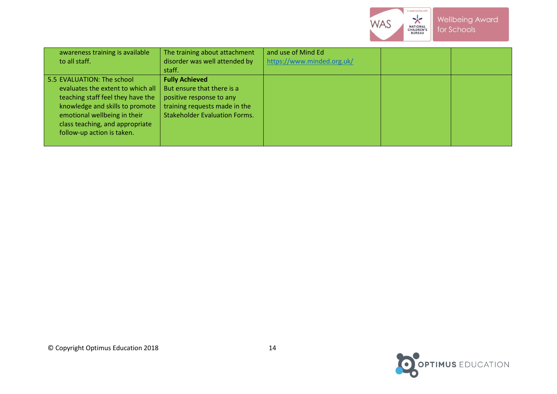

| awareness training is available<br>to all staff.                                                                                                                                                                                         | The training about attachment<br>disorder was well attended by<br>staff.                                                                                 | and use of Mind Ed<br>https://www.minded.org.uk/ |  |
|------------------------------------------------------------------------------------------------------------------------------------------------------------------------------------------------------------------------------------------|----------------------------------------------------------------------------------------------------------------------------------------------------------|--------------------------------------------------|--|
| 5.5 EVALUATION: The school<br>evaluates the extent to which all<br>teaching staff feel they have the<br>knowledge and skills to promote<br>emotional wellbeing in their<br>class teaching, and appropriate<br>follow-up action is taken. | <b>Fully Achieved</b><br>But ensure that there is a<br>positive response to any<br>training requests made in the<br><b>Stakeholder Evaluation Forms.</b> |                                                  |  |

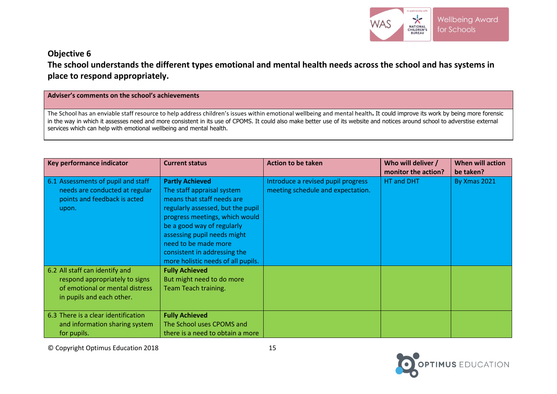

**The school understands the different types emotional and mental health needs across the school and has systems in place to respond appropriately.**

#### **Adviser's comments on the school's achievements**

The School has an enviable staff resource to help address children's issues within emotional wellbeing and mental health**.** It could improve its work by being more forensic in the way in which it assesses need and more consistent in its use of CPOMS. It could also make better use of its website and notices around school to adverstise external services which can help with emotional wellbeing and mental health.

| Key performance indicator                                                                                                        | <b>Current status</b>                                                                                                                                                                                                                                                                                                | <b>Action to be taken</b>                                               | Who will deliver /<br>monitor the action? | <b>When will action</b><br>be taken? |
|----------------------------------------------------------------------------------------------------------------------------------|----------------------------------------------------------------------------------------------------------------------------------------------------------------------------------------------------------------------------------------------------------------------------------------------------------------------|-------------------------------------------------------------------------|-------------------------------------------|--------------------------------------|
| 6.1 Assessments of pupil and staff<br>needs are conducted at regular<br>points and feedback is acted<br>upon.                    | <b>Partly Achieved</b><br>The staff appraisal system<br>means that staff needs are<br>regularly assessed, but the pupil<br>progress meetings, which would<br>be a good way of regularly<br>assessing pupil needs might<br>need to be made more<br>consistent in addressing the<br>more holistic needs of all pupils. | Introduce a revised pupil progress<br>meeting schedule and expectation. | HT and DHT                                | By Xmas 2021                         |
| 6.2 All staff can identify and<br>respond appropriately to signs<br>of emotional or mental distress<br>in pupils and each other. | <b>Fully Achieved</b><br>But might need to do more<br>Team Teach training.                                                                                                                                                                                                                                           |                                                                         |                                           |                                      |
| 6.3 There is a clear identification<br>and information sharing system<br>for pupils.                                             | <b>Fully Achieved</b><br>The School uses CPOMS and<br>there is a need to obtain a more                                                                                                                                                                                                                               |                                                                         |                                           |                                      |

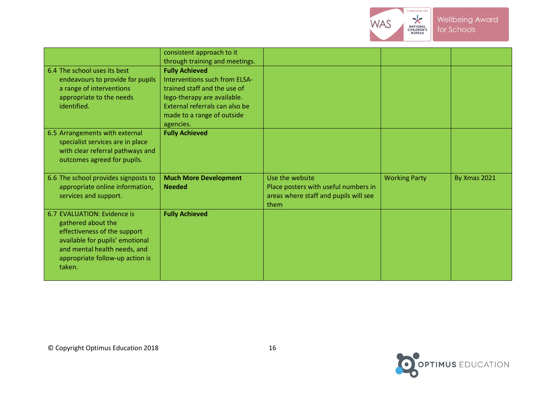

|                                                                                                                                                                                                   | consistent approach to it<br>through training and meetings.                                                                                                                                        |                                                                                                          |                      |                     |
|---------------------------------------------------------------------------------------------------------------------------------------------------------------------------------------------------|----------------------------------------------------------------------------------------------------------------------------------------------------------------------------------------------------|----------------------------------------------------------------------------------------------------------|----------------------|---------------------|
| 6.4 The school uses its best<br>endeavours to provide for pupils<br>a range of interventions<br>appropriate to the needs<br>identified.                                                           | <b>Fully Achieved</b><br>Interventions such from ELSA-<br>trained staff and the use of<br>lego-therapy are available.<br>External referrals can also be<br>made to a range of outside<br>agencies. |                                                                                                          |                      |                     |
| 6.5 Arrangements with external<br>specialist services are in place<br>with clear referral pathways and<br>outcomes agreed for pupils.                                                             | <b>Fully Achieved</b>                                                                                                                                                                              |                                                                                                          |                      |                     |
| 6.6 The school provides signposts to<br>appropriate online information,<br>services and support.                                                                                                  | <b>Much More Development</b><br><b>Needed</b>                                                                                                                                                      | Use the website<br>Place posters with useful numbers in<br>areas where staff and pupils will see<br>them | <b>Working Party</b> | <b>By Xmas 2021</b> |
| 6.7 EVALUATION: Evidence is<br>gathered about the<br>effectiveness of the support<br>available for pupils' emotional<br>and mental health needs, and<br>appropriate follow-up action is<br>taken. | <b>Fully Achieved</b>                                                                                                                                                                              |                                                                                                          |                      |                     |

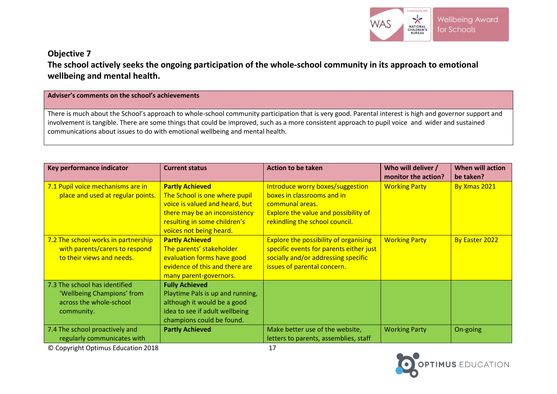

**The school actively seeks the ongoing participation of the whole-school community in its approach to emotional wellbeing and mental health.**

#### **Adviser's comments on the school's achievements**

There is much about the School's approach to whole-school community participation that is very good. Parental interest is high and governor support and involvement is tangible. There are some things that could be improved, such as a more consistent approach to pupil voice and wider and sustained communications about issues to do with emotional wellbeing and mental health.

| Key performance indicator           | <b>Current status</b>            | <b>Action to be taken</b>                    | Who will deliver /<br>monitor the action? | <b>When will action</b><br>be taken? |
|-------------------------------------|----------------------------------|----------------------------------------------|-------------------------------------------|--------------------------------------|
| 7.1 Pupil voice mechanisms are in   | <b>Partly Achieved</b>           | Introduce worry boxes/suggestion             | <b>Working Party</b>                      | By Xmas 2021                         |
| place and used at regular points.   | The School is one where pupil    | boxes in classrooms and in                   |                                           |                                      |
|                                     | voice is valued and heard, but   | communal areas.                              |                                           |                                      |
|                                     | there may be an inconsistency    | <b>Explore the value and possibility of</b>  |                                           |                                      |
|                                     | resulting in some children's     | rekindling the school council.               |                                           |                                      |
|                                     | voices not being heard.          |                                              |                                           |                                      |
| 7.2 The school works in partnership | <b>Partly Achieved</b>           | <b>Explore the possibility of organising</b> | <b>Working Party</b>                      | By Easter 2022                       |
| with parents/carers to respond      | The parents' stakeholder         | specific events for parents either just      |                                           |                                      |
| to their views and needs.           | evaluation forms have good       | socially and/or addressing specific          |                                           |                                      |
|                                     | evidence of this and there are   | issues of parental concern.                  |                                           |                                      |
|                                     | many parent-governors.           |                                              |                                           |                                      |
| 7.3 The school has identified       | <b>Fully Achieved</b>            |                                              |                                           |                                      |
| 'Wellbeing Champions' from          | Playtime Pals is up and running, |                                              |                                           |                                      |
| across the whole-school             | although it would be a good      |                                              |                                           |                                      |
| community.                          | idea to see if adult wellbeing   |                                              |                                           |                                      |
|                                     | champions could be found.        |                                              |                                           |                                      |
| 7.4 The school proactively and      | <b>Partly Achieved</b>           | Make better use of the website,              | <b>Working Party</b>                      | On-going                             |
| regularly communicates with         |                                  | letters to parents, assemblies, staff        |                                           |                                      |



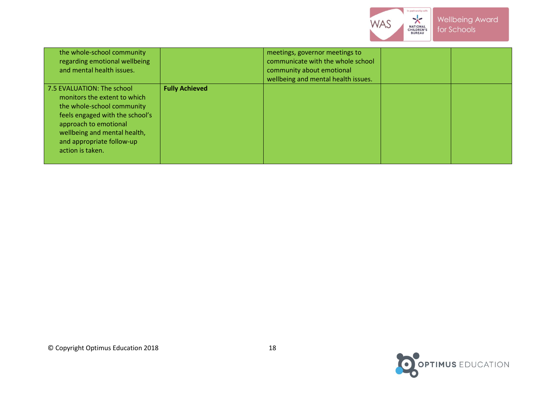

| the whole-school community<br>regarding emotional wellbeing<br>and mental health issues.                                                                                                                                              |                       | meetings, governor meetings to<br>communicate with the whole school<br>community about emotional |  |
|---------------------------------------------------------------------------------------------------------------------------------------------------------------------------------------------------------------------------------------|-----------------------|--------------------------------------------------------------------------------------------------|--|
|                                                                                                                                                                                                                                       |                       | wellbeing and mental health issues.                                                              |  |
| 7.5 EVALUATION: The school<br>monitors the extent to which<br>the whole-school community<br>feels engaged with the school's<br>approach to emotional<br>wellbeing and mental health,<br>and appropriate follow-up<br>action is taken. | <b>Fully Achieved</b> |                                                                                                  |  |

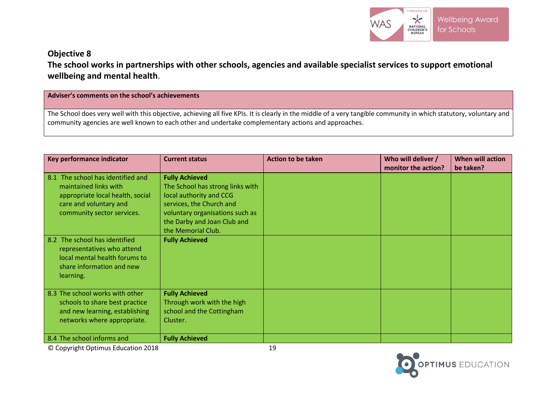

**The school works in partnerships with other schools, agencies and available specialist services to support emotional wellbeing and mental health**.

#### **Adviser's comments on the school's achievements**

The School does very well with this objective, achieving all five KPIs. It is clearly in the middle of a very tangible community in which statutory, voluntary and community agencies are well known to each other and undertake complementary actions and approaches.

| Key performance indicator                                                                                                                              | <b>Current status</b>                                                                                                                                                                                    | <b>Action to be taken</b> | Who will deliver /<br>monitor the action? | <b>When will action</b><br>be taken? |
|--------------------------------------------------------------------------------------------------------------------------------------------------------|----------------------------------------------------------------------------------------------------------------------------------------------------------------------------------------------------------|---------------------------|-------------------------------------------|--------------------------------------|
| 8.1 The school has identified and<br>maintained links with<br>appropriate local health, social<br>care and voluntary and<br>community sector services. | <b>Fully Achieved</b><br>The School has strong links with<br>local authority and CCG<br>services, the Church and<br>voluntary organisations such as<br>the Darby and Joan Club and<br>the Memorial Club. |                           |                                           |                                      |
| 8.2 The school has identified<br>representatives who attend<br>local mental health forums to<br>share information and new<br>learning.                 | <b>Fully Achieved</b>                                                                                                                                                                                    |                           |                                           |                                      |
| 8.3 The school works with other<br>schools to share best practice<br>and new learning, establishing<br>networks where appropriate.                     | <b>Fully Achieved</b><br>Through work with the high<br>school and the Cottingham<br>Cluster.                                                                                                             |                           |                                           |                                      |
| 8.4 The school informs and                                                                                                                             | <b>Fully Achieved</b>                                                                                                                                                                                    |                           |                                           |                                      |